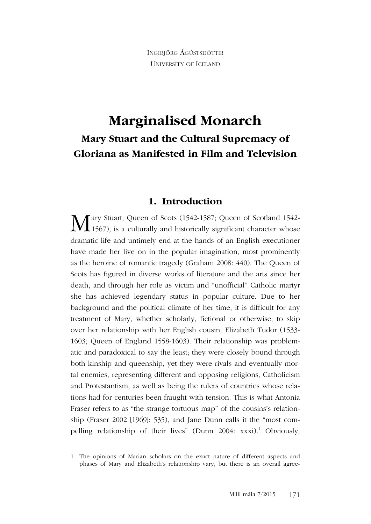INGIBJÖRG ÁGÚSTSDÓTTIR UNIVERSITY OF ICELAND

# **Marginalised Monarch Mary Stuart and the Cultural Supremacy of Gloriana as Manifested in Film and Television**

#### **1. Introduction**

ary Stuart, Queen of Scots (1542-1587; Queen of Scotland 1542- 1567), is a culturally and historically significant character whose dramatic life and untimely end at the hands of an English executioner have made her live on in the popular imagination, most prominently as the heroine of romantic tragedy (Graham 2008: 440). The Queen of Scots has figured in diverse works of literature and the arts since her death, and through her role as victim and "unofficial" Catholic martyr she has achieved legendary status in popular culture. Due to her background and the political climate of her time, it is difficult for any treatment of Mary, whether scholarly, fictional or otherwise, to skip over her relationship with her English cousin, Elizabeth Tudor (1533- 1603; Queen of England 1558-1603). Their relationship was problematic and paradoxical to say the least; they were closely bound through both kinship and queenship, yet they were rivals and eventually mortal enemies, representing different and opposing religions, Catholicism and Protestantism, as well as being the rulers of countries whose relations had for centuries been fraught with tension. This is what Antonia Fraser refers to as "the strange tortuous map" of the cousins's relationship (Fraser 2002 [1969]: 535), and Jane Dunn calls it the "most compelling relationship of their lives" (Dunn 2004: xxxi).<sup>1</sup> Obviously, M

<sup>1</sup> The opinions of Marian scholars on the exact nature of different aspects and phases of Mary and Elizabeth's relationship vary, but there is an overall agree-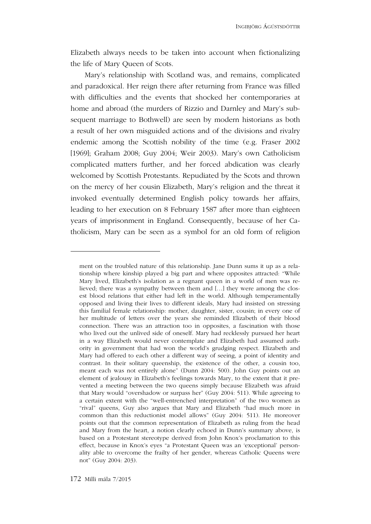Elizabeth always needs to be taken into account when fictionalizing the life of Mary Queen of Scots.

Mary's relationship with Scotland was, and remains, complicated and paradoxical. Her reign there after returning from France was filled with difficulties and the events that shocked her contemporaries at home and abroad (the murders of Rizzio and Darnley and Mary's subsequent marriage to Bothwell) are seen by modern historians as both a result of her own misguided actions and of the divisions and rivalry endemic among the Scottish nobility of the time (e.g. Fraser 2002 [1969]; Graham 2008; Guy 2004; Weir 2003). Mary's own Catholicism complicated matters further, and her forced abdication was clearly welcomed by Scottish Protestants. Repudiated by the Scots and thrown on the mercy of her cousin Elizabeth, Mary's religion and the threat it invoked eventually determined English policy towards her affairs, leading to her execution on 8 February 1587 after more than eighteen years of imprisonment in England. Consequently, because of her Catholicism, Mary can be seen as a symbol for an old form of religion

ment on the troubled nature of this relationship. Jane Dunn sums it up as a relationship where kinship played a big part and where opposites attracted: "While Mary lived, Elizabeth's isolation as a regnant queen in a world of men was relieved; there was a sympathy between them and […] they were among the closest blood relations that either had left in the world. Although temperamentally opposed and living their lives to different ideals, Mary had insisted on stressing this familial female relationship: mother, daughter, sister, cousin; in every one of her multitude of letters over the years she reminded Elizabeth of their blood connection. There was an attraction too in opposites, a fascination with those who lived out the unlived side of oneself. Mary had recklessly pursued her heart in a way Elizabeth would never contemplate and Elizabeth had assumed authority in government that had won the world's grudging respect. Elizabeth and Mary had offered to each other a different way of seeing, a point of identity and contrast. In their solitary queenship, the existence of the other, a cousin too, meant each was not entirely alone" (Dunn 2004: 500). John Guy points out an element of jealousy in Elizabeth's feelings towards Mary, to the extent that it prevented a meeting between the two queens simply because Elizabeth was afraid that Mary would "overshadow or surpass her" (Guy 2004: 511). While agreeing to a certain extent with the "well-entrenched interpretation" of the two women as "rival" queens, Guy also argues that Mary and Elizabeth "had much more in common than this reductionist model allows" (Guy 2004: 511). He moreover points out that the common representation of Elizabeth as ruling from the head and Mary from the heart, a notion clearly echoed in Dunn's summary above, is based on a Protestant stereotype derived from John Knox's proclamation to this effect, because in Knox's eyes "a Protestant Queen was an 'exceptional' personality able to overcome the frailty of her gender, whereas Catholic Queens were not" (Guy 2004: 203).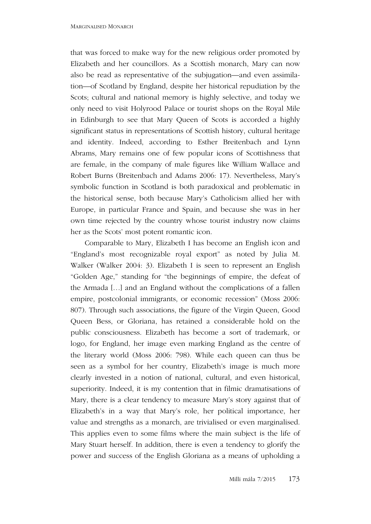that was forced to make way for the new religious order promoted by Elizabeth and her councillors. As a Scottish monarch, Mary can now also be read as representative of the subjugation—and even assimilation—of Scotland by England, despite her historical repudiation by the Scots; cultural and national memory is highly selective, and today we only need to visit Holyrood Palace or tourist shops on the Royal Mile in Edinburgh to see that Mary Queen of Scots is accorded a highly significant status in representations of Scottish history, cultural heritage and identity. Indeed, according to Esther Breitenbach and Lynn Abrams, Mary remains one of few popular icons of Scottishness that are female, in the company of male figures like William Wallace and Robert Burns (Breitenbach and Adams 2006: 17). Nevertheless, Mary's symbolic function in Scotland is both paradoxical and problematic in the historical sense, both because Mary's Catholicism allied her with Europe, in particular France and Spain, and because she was in her own time rejected by the country whose tourist industry now claims her as the Scots' most potent romantic icon.

Comparable to Mary, Elizabeth I has become an English icon and "England's most recognizable royal export" as noted by Julia M. Walker (Walker 2004: 3). Elizabeth I is seen to represent an English "Golden Age," standing for "the beginnings of empire, the defeat of the Armada […] and an England without the complications of a fallen empire, postcolonial immigrants, or economic recession" (Moss 2006: 807). Through such associations, the figure of the Virgin Queen, Good Queen Bess, or Gloriana, has retained a considerable hold on the public consciousness. Elizabeth has become a sort of trademark, or logo, for England, her image even marking England as the centre of the literary world (Moss 2006: 798). While each queen can thus be seen as a symbol for her country, Elizabeth's image is much more clearly invested in a notion of national, cultural, and even historical, superiority. Indeed, it is my contention that in filmic dramatisations of Mary, there is a clear tendency to measure Mary's story against that of Elizabeth's in a way that Mary's role, her political importance, her value and strengths as a monarch, are trivialised or even marginalised. This applies even to some films where the main subject is the life of Mary Stuart herself. In addition, there is even a tendency to glorify the power and success of the English Gloriana as a means of upholding a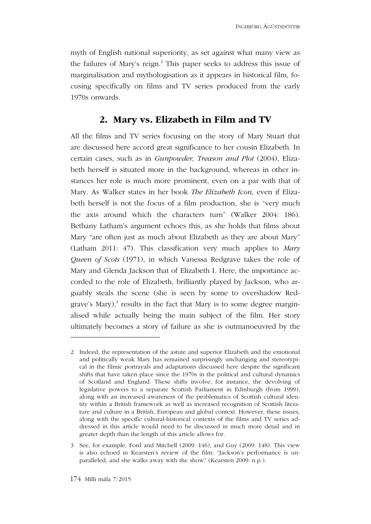myth of English national superiority, as set against what many view as the failures of Mary's reign.<sup>2</sup> This paper seeks to address this issue of marginalisation and mythologisation as it appears in historical film, focusing specifically on films and TV series produced from the early 1970s onwards.

### **2. Mary vs. Elizabeth in Film and TV**

All the films and TV series focusing on the story of Mary Stuart that are discussed here accord great significance to her cousin Elizabeth. In certain cases, such as in *Gunpowder, Treason and Plot* (2004), Elizabeth herself is situated more in the background, whereas in other instances her role is much more prominent, even on a par with that of Mary. As Walker states in her book *The Elizabeth Icon*, even if Elizabeth herself is not the focus of a film production, she is "very much the axis around which the characters turn" (Walker 2004: 186). Bethany Latham's argument echoes this, as she holds that films about Mary "are often just as much about Elizabeth as they are about Mary" (Latham 2011: 47). This classification very much applies to *Mary Queen of Scots* (1971), in which Vanessa Redgrave takes the role of Mary and Glenda Jackson that of Elizabeth I. Here, the importance accorded to the role of Elizabeth, brilliantly played by Jackson, who arguably steals the scene (she is seen by some to overshadow Redgrave's Mary), $3$  results in the fact that Mary is to some degree marginalised while actually being the main subject of the film. Her story ultimately becomes a story of failure as she is outmanoeuvred by the

<sup>2</sup> Indeed, the representation of the astute and superior Elizabeth and the emotional and politically weak Mary has remained surprisingly unchanging and stereotypical in the filmic portrayals and adaptations discussed here despite the significant shifts that have taken place since the 1970s in the political and cultural dynamics of Scotland and England. These shifts involve, for instance, the devolving of legislative powers to a separate Scottish Parliament in Edinburgh (from 1999), along with an increased awareness of the problematics of Scottish cultural identity within a British framework as well as increased recognition of Scottish literature and culture in a British, European and global context. However, these issues, along with the specific cultural-historical contexts of the films and TV series addressed in this article would need to be discussed in much more detail and in greater depth than the length of this article allows for.

<sup>3</sup> See, for example, Ford and Mitchell (2009: 146), and Guy (2009: 148). This view is also echoed in Kearsten's review of the film: "Jackson's performance is unparalleled, and she walks away with the show" (Kearsten 2009: n.p.).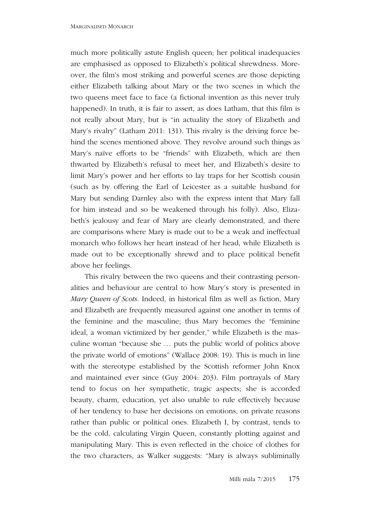much more politically astute English queen; her political inadequacies are emphasised as opposed to Elizabeth's political shrewdness. Moreover, the film's most striking and powerful scenes are those depicting either Elizabeth talking about Mary or the two scenes in which the two queens meet face to face (a fictional invention as this never truly happened). In truth, it is fair to assert, as does Latham, that this film is not really about Mary, but is "in actuality the story of Elizabeth and Mary's rivalry" (Latham 2011: 131). This rivalry is the driving force behind the scenes mentioned above. They revolve around such things as Mary's naïve efforts to be "friends" with Elizabeth, which are then thwarted by Elizabeth's refusal to meet her, and Elizabeth's desire to limit Mary's power and her efforts to lay traps for her Scottish cousin (such as by offering the Earl of Leicester as a suitable husband for Mary but sending Darnley also with the express intent that Mary fall for him instead and so be weakened through his folly). Also, Elizabeth's jealousy and fear of Mary are clearly demonstrated, and there are comparisons where Mary is made out to be a weak and ineffectual monarch who follows her heart instead of her head, while Elizabeth is made out to be exceptionally shrewd and to place political benefit above her feelings.

This rivalry between the two queens and their contrasting personalities and behaviour are central to how Mary's story is presented in *Mary Queen of Scots*. Indeed, in historical film as well as fiction, Mary and Elizabeth are frequently measured against one another in terms of the feminine and the masculine; thus Mary becomes the "feminine ideal, a woman victimized by her gender," while Elizabeth is the masculine woman "because she … puts the public world of politics above the private world of emotions" (Wallace 2008: 19). This is much in line with the stereotype established by the Scottish reformer John Knox and maintained ever since (Guy 2004: 203). Film portrayals of Mary tend to focus on her sympathetic, tragic aspects; she is accorded beauty, charm, education, yet also unable to rule effectively because of her tendency to base her decisions on emotions, on private reasons rather than public or political ones. Elizabeth I, by contrast, tends to be the cold, calculating Virgin Queen, constantly plotting against and manipulating Mary. This is even reflected in the choice of clothes for the two characters, as Walker suggests: "Mary is always subliminally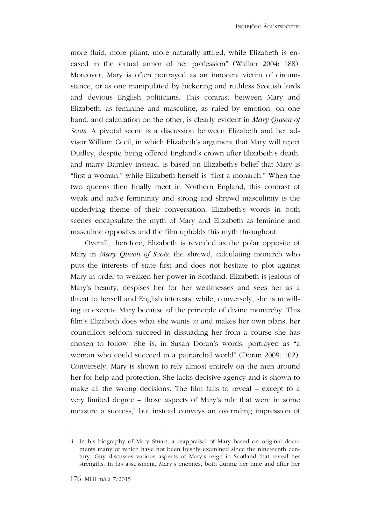more fluid, more pliant, more naturally attired, while Elizabeth is encased in the virtual armor of her profession" (Walker 2004: 188). Moreover, Mary is often portrayed as an innocent victim of circumstance, or as one manipulated by bickering and ruthless Scottish lords and devious English politicians. This contrast between Mary and Elizabeth, as feminine and masculine, as ruled by emotion, on one hand, and calculation on the other, is clearly evident in *Mary Queen of Scots*. A pivotal scene is a discussion between Elizabeth and her advisor William Cecil, in which Elizabeth's argument that Mary will reject Dudley, despite being offered England's crown after Elizabeth's death, and marry Darnley instead, is based on Elizabeth's belief that Mary is "first a woman," while Elizabeth herself is "first a monarch." When the two queens then finally meet in Northern England, this contrast of weak and naïve femininity and strong and shrewd masculinity is the underlying theme of their conversation. Elizabeth's words in both scenes encapsulate the myth of Mary and Elizabeth as feminine and masculine opposites and the film upholds this myth throughout.

Overall, therefore, Elizabeth is revealed as the polar opposite of Mary in *Mary Queen of Scots*: the shrewd, calculating monarch who puts the interests of state first and does not hesitate to plot against Mary in order to weaken her power in Scotland. Elizabeth is jealous of Mary's beauty, despises her for her weaknesses and sees her as a threat to herself and English interests, while, conversely, she is unwilling to execute Mary because of the principle of divine monarchy. This film's Elizabeth does what she wants to and makes her own plans; her councillors seldom succeed in dissuading her from a course she has chosen to follow. She is, in Susan Doran's words, portrayed as "a woman who could succeed in a patriarchal world" (Doran 2009: 102). Conversely, Mary is shown to rely almost entirely on the men around her for help and protection. She lacks decisive agency and is shown to make all the wrong decisions. The film fails to reveal – except to a very limited degree – those aspects of Mary's rule that were in some measure a success, 4 but instead conveys an overriding impression of

<sup>4</sup> In his biography of Mary Stuart, a reappraisal of Mary based on original documents many of which have not been freshly examined since the nineteenth century, Guy discusses various aspects of Mary's reign in Scotland that reveal her strengths. In his assessment, Mary's enemies, both during her time and after her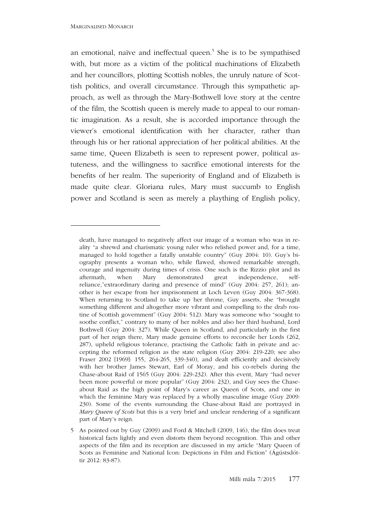1

an emotional, naïve and ineffectual queen.<sup>5</sup> She is to be sympathised with, but more as a victim of the political machinations of Elizabeth and her councillors, plotting Scottish nobles, the unruly nature of Scottish politics, and overall circumstance. Through this sympathetic approach, as well as through the Mary-Bothwell love story at the centre of the film, the Scottish queen is merely made to appeal to our romantic imagination. As a result, she is accorded importance through the viewer's emotional identification with her character, rather than through his or her rational appreciation of her political abilities. At the same time, Queen Elizabeth is seen to represent power, political astuteness, and the willingness to sacrifice emotional interests for the benefits of her realm. The superiority of England and of Elizabeth is made quite clear. Gloriana rules, Mary must succumb to English power and Scotland is seen as merely a plaything of English policy,

death, have managed to negatively affect our image of a woman who was in reality "a shrewd and charismatic young ruler who relished power and, for a time, managed to hold together a fatally unstable country" (Guy 2004: 10). Guy's biography presents a woman who, while flawed, showed remarkable strength, courage and ingenuity during times of crisis. One such is the Rizzio plot and its aftermath, when Mary demonstrated great independence, selfreliance,"extraordinary daring and presence of mind" (Guy 2004: 257, 261); another is her escape from her imprisonment at Loch Leven (Guy 2004: 367-368). When returning to Scotland to take up her throne, Guy asserts, she "brought something different and altogether more vibrant and compelling to the drab routine of Scottish government" (Guy 2004: 512). Mary was someone who "sought to soothe conflict," contrary to many of her nobles and also her third husband, Lord Bothwell (Guy 2004: 327). While Queen in Scotland, and particularly in the first part of her reign there, Mary made genuine efforts to reconcile her Lords (262, 287), upheld religious tolerance, practising the Catholic faith in private and accepting the reformed religion as the state religion (Guy 2004: 219-220; see also Fraser 2002 [1969]: 155, 264-265, 339-340), and dealt efficiently and decisively with her brother James Stewart, Earl of Moray, and his co-rebels during the Chase-about Raid of 1565 (Guy 2004: 229-232). After this event, Mary "had never been more powerful or more popular" (Guy 2004: 232), and Guy sees the Chaseabout Raid as the high point of Mary's career as Queen of Scots, and one in which the feminine Mary was replaced by a wholly masculine image (Guy 2009: 230). Some of the events surrounding the Chase-about Raid are portrayed in *Mary Queen of Scots* but this is a very brief and unclear rendering of a significant part of Mary's reign.

<sup>5</sup> As pointed out by Guy (2009) and Ford & Mitchell (2009, 146), the film does treat historical facts lightly and even distorts them beyond recognition. This and other aspects of the film and its reception are discussed in my article "Mary Queen of Scots as Feminine and National Icon: Depictions in Film and Fiction" (Ágústsdóttir 2012: 83-87).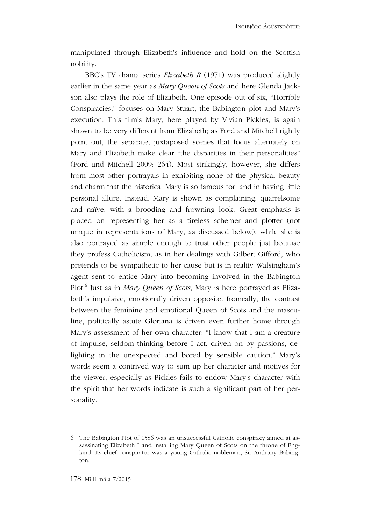manipulated through Elizabeth's influence and hold on the Scottish nobility.

BBC's TV drama series *Elizabeth R* (1971) was produced slightly earlier in the same year as *Mary Queen of Scots* and here Glenda Jackson also plays the role of Elizabeth. One episode out of six, "Horrible Conspiracies," focuses on Mary Stuart, the Babington plot and Mary's execution. This film's Mary, here played by Vivian Pickles, is again shown to be very different from Elizabeth; as Ford and Mitchell rightly point out, the separate, juxtaposed scenes that focus alternately on Mary and Elizabeth make clear "the disparities in their personalities" (Ford and Mitchell 2009: 264). Most strikingly, however, she differs from most other portrayals in exhibiting none of the physical beauty and charm that the historical Mary is so famous for, and in having little personal allure. Instead, Mary is shown as complaining, quarrelsome and naïve, with a brooding and frowning look. Great emphasis is placed on representing her as a tireless schemer and plotter (not unique in representations of Mary, as discussed below), while she is also portrayed as simple enough to trust other people just because they profess Catholicism, as in her dealings with Gilbert Gifford, who pretends to be sympathetic to her cause but is in reality Walsingham's agent sent to entice Mary into becoming involved in the Babington Plot. 6 Just as in *Mary Queen of Scots*, Mary is here portrayed as Elizabeth's impulsive, emotionally driven opposite. Ironically, the contrast between the feminine and emotional Queen of Scots and the masculine, politically astute Gloriana is driven even further home through Mary's assessment of her own character: "I know that I am a creature of impulse, seldom thinking before I act, driven on by passions, delighting in the unexpected and bored by sensible caution." Mary's words seem a contrived way to sum up her character and motives for the viewer, especially as Pickles fails to endow Mary's character with the spirit that her words indicate is such a significant part of her personality.

<sup>6</sup> The Babington Plot of 1586 was an unsuccessful Catholic conspiracy aimed at assassinating Elizabeth I and installing Mary Queen of Scots on the throne of England. Its chief conspirator was a young Catholic nobleman, Sir Anthony Babington.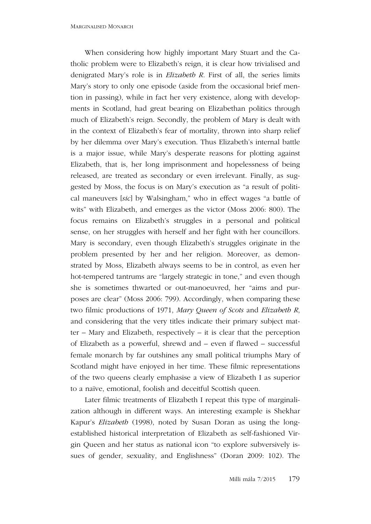When considering how highly important Mary Stuart and the Catholic problem were to Elizabeth's reign, it is clear how trivialised and denigrated Mary's role is in *Elizabeth R*. First of all, the series limits Mary's story to only one episode (aside from the occasional brief mention in passing), while in fact her very existence, along with developments in Scotland, had great bearing on Elizabethan politics through much of Elizabeth's reign. Secondly, the problem of Mary is dealt with in the context of Elizabeth's fear of mortality, thrown into sharp relief by her dilemma over Mary's execution. Thus Elizabeth's internal battle is a major issue, while Mary's desperate reasons for plotting against Elizabeth, that is, her long imprisonment and hopelessness of being released, are treated as secondary or even irrelevant. Finally, as suggested by Moss, the focus is on Mary's execution as "a result of political maneuvers [*sic*] by Walsingham," who in effect wages "a battle of wits" with Elizabeth, and emerges as the victor (Moss 2006: 800). The focus remains on Elizabeth's struggles in a personal and political sense, on her struggles with herself and her fight with her councillors. Mary is secondary, even though Elizabeth's struggles originate in the problem presented by her and her religion. Moreover, as demonstrated by Moss, Elizabeth always seems to be in control, as even her hot-tempered tantrums are "largely strategic in tone," and even though she is sometimes thwarted or out-manoeuvred, her "aims and purposes are clear" (Moss 2006: 799). Accordingly, when comparing these two filmic productions of 1971, *Mary Queen of Scots* and *Elizabeth R*, and considering that the very titles indicate their primary subject matter – Mary and Elizabeth, respectively – it is clear that the perception of Elizabeth as a powerful, shrewd and – even if flawed – successful female monarch by far outshines any small political triumphs Mary of Scotland might have enjoyed in her time. These filmic representations of the two queens clearly emphasise a view of Elizabeth I as superior to a naïve, emotional, foolish and deceitful Scottish queen.

Later filmic treatments of Elizabeth I repeat this type of marginalization although in different ways. An interesting example is Shekhar Kapur's *Elizabeth* (1998), noted by Susan Doran as using the longestablished historical interpretation of Elizabeth as self-fashioned Virgin Queen and her status as national icon "to explore subversively issues of gender, sexuality, and Englishness" (Doran 2009: 102). The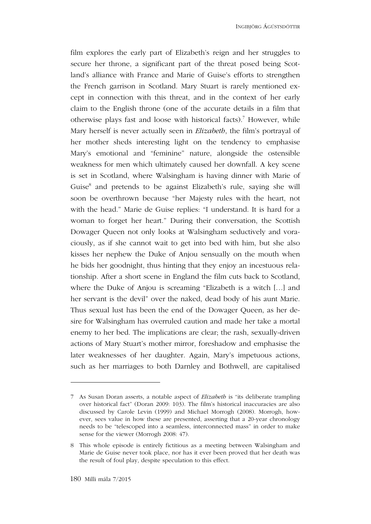film explores the early part of Elizabeth's reign and her struggles to secure her throne, a significant part of the threat posed being Scotland's alliance with France and Marie of Guise's efforts to strengthen the French garrison in Scotland. Mary Stuart is rarely mentioned except in connection with this threat, and in the context of her early claim to the English throne (one of the accurate details in a film that otherwise plays fast and loose with historical facts). 7 However, while Mary herself is never actually seen in *Elizabeth*, the film's portrayal of her mother sheds interesting light on the tendency to emphasise Mary's emotional and "feminine" nature, alongside the ostensible weakness for men which ultimately caused her downfall. A key scene is set in Scotland, where Walsingham is having dinner with Marie of Guise<sup>8</sup> and pretends to be against Elizabeth's rule, saying she will soon be overthrown because "her Majesty rules with the heart, not with the head." Marie de Guise replies: "I understand. It is hard for a woman to forget her heart." During their conversation, the Scottish Dowager Queen not only looks at Walsingham seductively and voraciously, as if she cannot wait to get into bed with him, but she also kisses her nephew the Duke of Anjou sensually on the mouth when he bids her goodnight, thus hinting that they enjoy an incestuous relationship. After a short scene in England the film cuts back to Scotland, where the Duke of Anjou is screaming "Elizabeth is a witch […] and her servant is the devil" over the naked, dead body of his aunt Marie. Thus sexual lust has been the end of the Dowager Queen, as her desire for Walsingham has overruled caution and made her take a mortal enemy to her bed. The implications are clear; the rash, sexually-driven actions of Mary Stuart's mother mirror, foreshadow and emphasise the later weaknesses of her daughter. Again, Mary's impetuous actions, such as her marriages to both Darnley and Bothwell, are capitalised

<sup>7</sup> As Susan Doran asserts, a notable aspect of *Elizabeth* is "its deliberate trampling over historical fact" (Doran 2009: 103). The film's historical inaccuracies are also discussed by Carole Levin (1999) and Michael Morrogh (2008). Morrogh, however, sees value in how these are presented, asserting that a 20-year chronology needs to be "telescoped into a seamless, interconnected mass" in order to make sense for the viewer (Morrogh 2008: 47).

<sup>8</sup> This whole episode is entirely fictitious as a meeting between Walsingham and Marie de Guise never took place, nor has it ever been proved that her death was the result of foul play, despite speculation to this effect.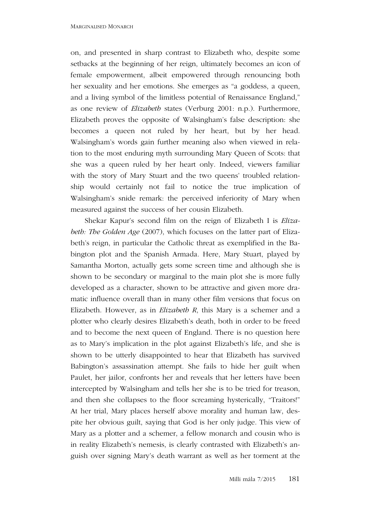on, and presented in sharp contrast to Elizabeth who, despite some setbacks at the beginning of her reign, ultimately becomes an icon of female empowerment, albeit empowered through renouncing both her sexuality and her emotions. She emerges as "a goddess, a queen, and a living symbol of the limitless potential of Renaissance England," as one review of *Elizabeth* states (Verburg 2001: n.p.). Furthermore, Elizabeth proves the opposite of Walsingham's false description: she becomes a queen not ruled by her heart, but by her head. Walsingham's words gain further meaning also when viewed in relation to the most enduring myth surrounding Mary Queen of Scots: that she was a queen ruled by her heart only. Indeed, viewers familiar with the story of Mary Stuart and the two queens' troubled relationship would certainly not fail to notice the true implication of Walsingham's snide remark: the perceived inferiority of Mary when measured against the success of her cousin Elizabeth.

Shekar Kapur's second film on the reign of Elizabeth I is *Elizabeth: The Golden Age* (2007), which focuses on the latter part of Elizabeth's reign, in particular the Catholic threat as exemplified in the Babington plot and the Spanish Armada. Here, Mary Stuart, played by Samantha Morton, actually gets some screen time and although she is shown to be secondary or marginal to the main plot she is more fully developed as a character, shown to be attractive and given more dramatic influence overall than in many other film versions that focus on Elizabeth. However, as in *Elizabeth R*, this Mary is a schemer and a plotter who clearly desires Elizabeth's death, both in order to be freed and to become the next queen of England. There is no question here as to Mary's implication in the plot against Elizabeth's life, and she is shown to be utterly disappointed to hear that Elizabeth has survived Babington's assassination attempt. She fails to hide her guilt when Paulet, her jailor, confronts her and reveals that her letters have been intercepted by Walsingham and tells her she is to be tried for treason, and then she collapses to the floor screaming hysterically, "Traitors!" At her trial, Mary places herself above morality and human law, despite her obvious guilt, saying that God is her only judge. This view of Mary as a plotter and a schemer, a fellow monarch and cousin who is in reality Elizabeth's nemesis, is clearly contrasted with Elizabeth's anguish over signing Mary's death warrant as well as her torment at the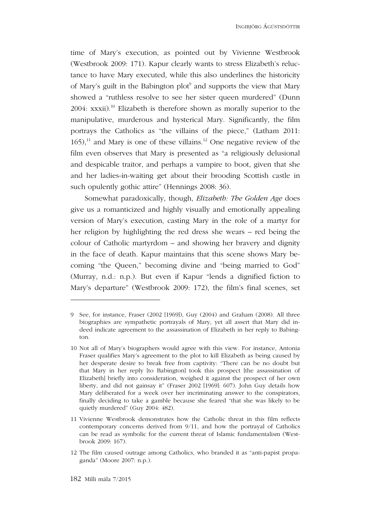time of Mary's execution, as pointed out by Vivienne Westbrook (Westbrook 2009: 171). Kapur clearly wants to stress Elizabeth's reluctance to have Mary executed, while this also underlines the historicity of Mary's guilt in the Babington plot<sup>9</sup> and supports the view that Mary showed a "ruthless resolve to see her sister queen murdered" (Dunn 2004: xxxii). 10 Elizabeth is therefore shown as morally superior to the manipulative, murderous and hysterical Mary. Significantly, the film portrays the Catholics as "the villains of the piece," (Latham 2011:  $165$ ,<sup>11</sup> and Mary is one of these villains.<sup>12</sup> One negative review of the film even observes that Mary is presented as "a religiously delusional and despicable traitor, and perhaps a vampire to boot, given that she and her ladies-in-waiting get about their brooding Scottish castle in such opulently gothic attire" (Hennings 2008: 36).

Somewhat paradoxically, though, *Elizabeth: The Golden Age* does give us a romanticized and highly visually and emotionally appealing version of Mary's execution, casting Mary in the role of a martyr for her religion by highlighting the red dress she wears – red being the colour of Catholic martyrdom – and showing her bravery and dignity in the face of death. Kapur maintains that this scene shows Mary becoming "the Queen," becoming divine and "being married to God" (Murray, n.d.: n.p.). But even if Kapur "lends a dignified fiction to Mary's departure" (Westbrook 2009: 172), the film's final scenes, set

12 The film caused outrage among Catholics, who branded it as "anti-papist propaganda" (Moore 2007: n.p.).

<sup>9</sup> See, for instance, Fraser (2002 [1969]), Guy (2004) and Graham (2008). All three biographies are sympathetic portrayals of Mary, yet all assert that Mary did indeed indicate agreement to the assassination of Elizabeth in her reply to Babington.

<sup>10</sup> Not all of Mary's biographers would agree with this view. For instance, Antonia Fraser qualifies Mary's agreement to the plot to kill Elizabeth as being caused by her desperate desire to break free from captivity: "There can be no doubt but that Mary in her reply [to Babington] took this prospect [the assassination of Elizabeth] briefly into consideration, weighed it against the prospect of her own liberty, and did not gainsay it" (Fraser 2002 [1969]: 607). John Guy details how Mary deliberated for a week over her incriminating answer to the conspirators, finally deciding to take a gamble because she feared "that she was likely to be quietly murdered" (Guy 2004: 482).

<sup>11</sup> Vivienne Westbrook demonstrates how the Catholic threat in this film reflects contemporary concerns derived from 9/11, and how the portrayal of Catholics can be read as symbolic for the current threat of Islamic fundamentalism (Westbrook 2009: 167).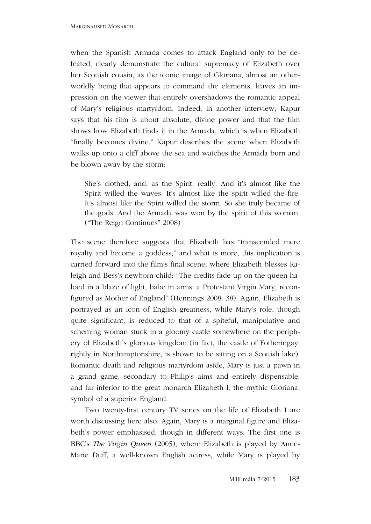when the Spanish Armada comes to attack England only to be defeated, clearly demonstrate the cultural supremacy of Elizabeth over her Scottish cousin, as the iconic image of Gloriana, almost an otherworldly being that appears to command the elements, leaves an impression on the viewer that entirely overshadows the romantic appeal of Mary's religious martyrdom. Indeed, in another interview, Kapur says that his film is about absolute, divine power and that the film shows how Elizabeth finds it in the Armada, which is when Elizabeth "finally becomes divine." Kapur describes the scene when Elizabeth walks up onto a cliff above the sea and watches the Armada burn and be blown away by the storm:

She's clothed, and, as the Spirit, really. And it's almost like the Spirit willed the waves. It's almost like the spirit willed the fire. It's almost like the Spirit willed the storm. So she truly became of the gods. And the Armada was won by the spirit of this woman. ("The Reign Continues" 2008)

The scene therefore suggests that Elizabeth has "transcended mere royalty and become a goddess," and what is more, this implication is carried forward into the film's final scene, where Elizabeth blesses Raleigh and Bess's newborn child: "The credits fade up on the queen haloed in a blaze of light, babe in arms: a Protestant Virgin Mary, reconfigured as Mother of England" (Hennings 2008: 38). Again, Elizabeth is portrayed as an icon of English greatness, while Mary's role, though quite significant, is reduced to that of a spiteful, manipulative and scheming woman stuck in a gloomy castle somewhere on the periphery of Elizabeth's glorious kingdom (in fact, the castle of Fotheringay, rightly in Northamptonshire, is shown to be sitting on a Scottish lake). Romantic death and religious martyrdom aside, Mary is just a pawn in a grand game, secondary to Philip's aims and entirely dispensable, and far inferior to the great monarch Elizabeth I, the mythic Gloriana, symbol of a superior England.

Two twenty-first century TV series on the life of Elizabeth I are worth discussing here also. Again, Mary is a marginal figure and Elizabeth's power emphasised, though in different ways. The first one is BBC's *The Virgin Queen* (2005), where Elizabeth is played by Anne-Marie Duff, a well-known English actress, while Mary is played by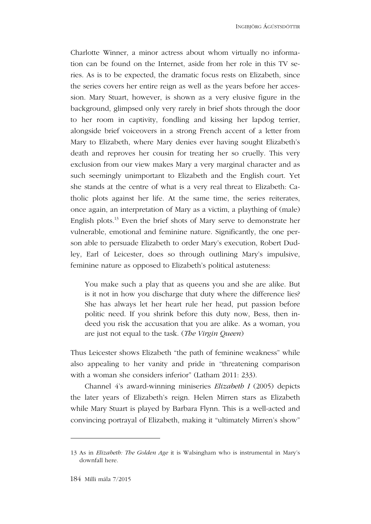Charlotte Winner, a minor actress about whom virtually no information can be found on the Internet, aside from her role in this TV series. As is to be expected, the dramatic focus rests on Elizabeth, since the series covers her entire reign as well as the years before her accession. Mary Stuart, however, is shown as a very elusive figure in the background, glimpsed only very rarely in brief shots through the door to her room in captivity, fondling and kissing her lapdog terrier, alongside brief voiceovers in a strong French accent of a letter from Mary to Elizabeth, where Mary denies ever having sought Elizabeth's death and reproves her cousin for treating her so cruelly. This very exclusion from our view makes Mary a very marginal character and as such seemingly unimportant to Elizabeth and the English court. Yet she stands at the centre of what is a very real threat to Elizabeth: Catholic plots against her life. At the same time, the series reiterates, once again, an interpretation of Mary as a victim, a plaything of (male) English plots. 13 Even the brief shots of Mary serve to demonstrate her vulnerable, emotional and feminine nature. Significantly, the one person able to persuade Elizabeth to order Mary's execution, Robert Dudley, Earl of Leicester, does so through outlining Mary's impulsive, feminine nature as opposed to Elizabeth's political astuteness:

You make such a play that as queens you and she are alike. But is it not in how you discharge that duty where the difference lies? She has always let her heart rule her head, put passion before politic need. If you shrink before this duty now, Bess, then indeed you risk the accusation that you are alike. As a woman, you are just not equal to the task. (*The Virgin Queen*)

Thus Leicester shows Elizabeth "the path of feminine weakness" while also appealing to her vanity and pride in "threatening comparison with a woman she considers inferior" (Latham 2011: 233).

Channel 4's award-winning miniseries *Elizabeth I* (2005) depicts the later years of Elizabeth's reign. Helen Mirren stars as Elizabeth while Mary Stuart is played by Barbara Flynn. This is a well-acted and convincing portrayal of Elizabeth, making it "ultimately Mirren's show"

<sup>13</sup> As in *Elizabeth: The Golden Age* it is Walsingham who is instrumental in Mary's downfall here.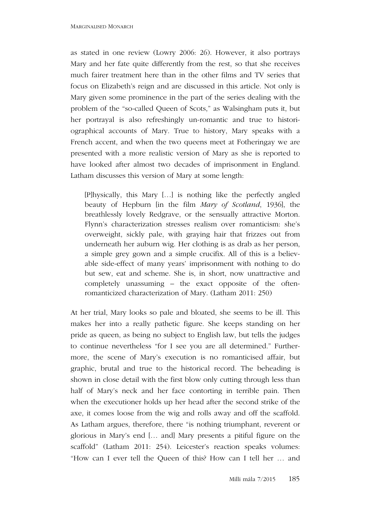as stated in one review (Lowry 2006: 26). However, it also portrays Mary and her fate quite differently from the rest, so that she receives much fairer treatment here than in the other films and TV series that focus on Elizabeth's reign and are discussed in this article. Not only is Mary given some prominence in the part of the series dealing with the problem of the "so-called Queen of Scots," as Walsingham puts it, but her portrayal is also refreshingly un-romantic and true to historiographical accounts of Mary. True to history, Mary speaks with a French accent, and when the two queens meet at Fotheringay we are presented with a more realistic version of Mary as she is reported to have looked after almost two decades of imprisonment in England. Latham discusses this version of Mary at some length:

[P]hysically, this Mary […] is nothing like the perfectly angled beauty of Hepburn [in the film *Mary of Scotland*, 1936], the breathlessly lovely Redgrave, or the sensually attractive Morton. Flynn's characterization stresses realism over romanticism: she's overweight, sickly pale, with graying hair that frizzes out from underneath her auburn wig. Her clothing is as drab as her person, a simple grey gown and a simple crucifix. All of this is a believable side-effect of many years' imprisonment with nothing to do but sew, eat and scheme. She is, in short, now unattractive and completely unassuming – the exact opposite of the oftenromanticized characterization of Mary. (Latham 2011: 250)

At her trial, Mary looks so pale and bloated, she seems to be ill. This makes her into a really pathetic figure. She keeps standing on her pride as queen, as being no subject to English law, but tells the judges to continue nevertheless "for I see you are all determined." Furthermore, the scene of Mary's execution is no romanticised affair, but graphic, brutal and true to the historical record. The beheading is shown in close detail with the first blow only cutting through less than half of Mary's neck and her face contorting in terrible pain. Then when the executioner holds up her head after the second strike of the axe, it comes loose from the wig and rolls away and off the scaffold. As Latham argues, therefore, there "is nothing triumphant, reverent or glorious in Mary's end [… and] Mary presents a pitiful figure on the scaffold" (Latham 2011: 254). Leicester's reaction speaks volumes: "How can I ever tell the Queen of this? How can I tell her … and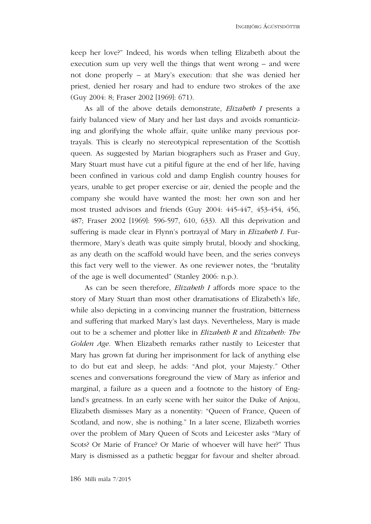INGIBJÖRG ÁGÚSTSDÓTTIR

keep her love?" Indeed, his words when telling Elizabeth about the execution sum up very well the things that went wrong – and were not done properly – at Mary's execution: that she was denied her priest, denied her rosary and had to endure two strokes of the axe (Guy 2004: 8; Fraser 2002 [1969]: 671).

As all of the above details demonstrate, *Elizabeth I* presents a fairly balanced view of Mary and her last days and avoids romanticizing and glorifying the whole affair, quite unlike many previous portrayals. This is clearly no stereotypical representation of the Scottish queen. As suggested by Marian biographers such as Fraser and Guy, Mary Stuart must have cut a pitiful figure at the end of her life, having been confined in various cold and damp English country houses for years, unable to get proper exercise or air, denied the people and the company she would have wanted the most: her own son and her most trusted advisors and friends (Guy 2004: 445-447, 453-454, 456, 487; Fraser 2002 [1969]: 596-597, 610, 633). All this deprivation and suffering is made clear in Flynn's portrayal of Mary in *Elizabeth I*. Furthermore, Mary's death was quite simply brutal, bloody and shocking, as any death on the scaffold would have been, and the series conveys this fact very well to the viewer. As one reviewer notes, the "brutality of the age is well documented" (Stanley 2006: n.p.).

As can be seen therefore, *Elizabeth I* affords more space to the story of Mary Stuart than most other dramatisations of Elizabeth's life, while also depicting in a convincing manner the frustration, bitterness and suffering that marked Mary's last days. Nevertheless, Mary is made out to be a schemer and plotter like in *Elizabeth R* and *Elizabeth: The Golden Age*. When Elizabeth remarks rather nastily to Leicester that Mary has grown fat during her imprisonment for lack of anything else to do but eat and sleep, he adds: "And plot, your Majesty." Other scenes and conversations foreground the view of Mary as inferior and marginal, a failure as a queen and a footnote to the history of England's greatness. In an early scene with her suitor the Duke of Anjou, Elizabeth dismisses Mary as a nonentity: "Queen of France, Queen of Scotland, and now, she is nothing." In a later scene, Elizabeth worries over the problem of Mary Queen of Scots and Leicester asks "Mary of Scots? Or Marie of France? Or Marie of whoever will have her?" Thus Mary is dismissed as a pathetic beggar for favour and shelter abroad.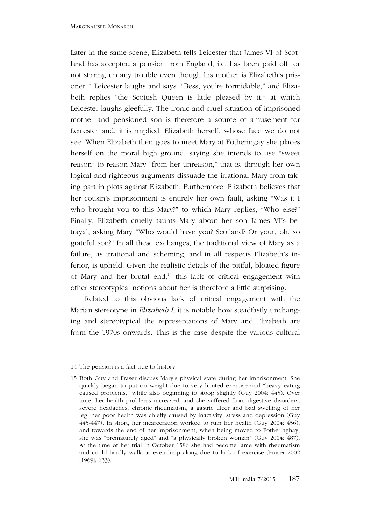Later in the same scene, Elizabeth tells Leicester that James VI of Scotland has accepted a pension from England, i.e. has been paid off for not stirring up any trouble even though his mother is Elizabeth's prisoner. 14 Leicester laughs and says: "Bess, you're formidable," and Elizabeth replies "the Scottish Queen is little pleased by it," at which Leicester laughs gleefully. The ironic and cruel situation of imprisoned mother and pensioned son is therefore a source of amusement for Leicester and, it is implied, Elizabeth herself, whose face we do not see. When Elizabeth then goes to meet Mary at Fotheringay she places herself on the moral high ground, saying she intends to use "sweet reason" to reason Mary "from her unreason," that is, through her own logical and righteous arguments dissuade the irrational Mary from taking part in plots against Elizabeth. Furthermore, Elizabeth believes that her cousin's imprisonment is entirely her own fault, asking "Was it I who brought you to this Mary?" to which Mary replies, "Who else?" Finally, Elizabeth cruelly taunts Mary about her son James VI's betrayal, asking Mary "Who would have you? Scotland? Or your, oh, so grateful son?" In all these exchanges, the traditional view of Mary as a failure, as irrational and scheming, and in all respects Elizabeth's inferior, is upheld. Given the realistic details of the pitiful, bloated figure of Mary and her brutal end,<sup>15</sup> this lack of critical engagement with other stereotypical notions about her is therefore a little surprising.

Related to this obvious lack of critical engagement with the Marian stereotype in *Elizabeth I*, it is notable how steadfastly unchanging and stereotypical the representations of Mary and Elizabeth are from the 1970s onwards. This is the case despite the various cultural

<sup>14</sup> The pension is a fact true to history.

<sup>15</sup> Both Guy and Fraser discuss Mary's physical state during her imprisonment. She quickly began to put on weight due to very limited exercise and "heavy eating caused problems," while also beginning to stoop slightly (Guy 2004: 445). Over time, her health problems increased, and she suffered from digestive disorders, severe headaches, chronic rheumatism, a gastric ulcer and bad swelling of her leg; her poor health was chiefly caused by inactivity, stress and depression (Guy 445-447). In short, her incarceration worked to ruin her health (Guy 2004: 456), and towards the end of her imprisonment, when being moved to Fotheringhay, she was "prematurely aged" and "a physically broken woman" (Guy 2004: 487). At the time of her trial in October 1586 she had become lame with rheumatism and could hardly walk or even limp along due to lack of exercise (Fraser 2002 [1969]: 633).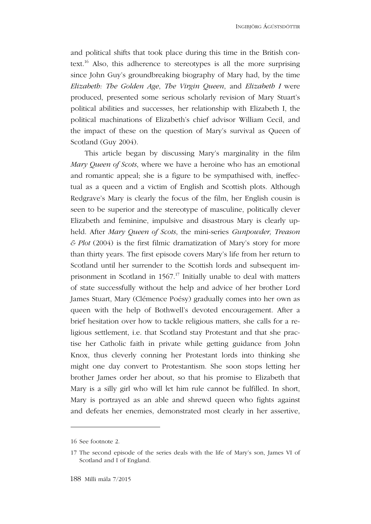and political shifts that took place during this time in the British context.<sup>16</sup> Also, this adherence to stereotypes is all the more surprising since John Guy's groundbreaking biography of Mary had, by the time *Elizabeth: The Golden Age*, *The Virgin Queen*, and *Elizabeth I* were produced, presented some serious scholarly revision of Mary Stuart's political abilities and successes, her relationship with Elizabeth I, the political machinations of Elizabeth's chief advisor William Cecil, and the impact of these on the question of Mary's survival as Queen of Scotland (Guy 2004).

This article began by discussing Mary's marginality in the film *Mary Queen of Scots*, where we have a heroine who has an emotional and romantic appeal; she is a figure to be sympathised with, ineffectual as a queen and a victim of English and Scottish plots. Although Redgrave's Mary is clearly the focus of the film, her English cousin is seen to be superior and the stereotype of masculine, politically clever Elizabeth and feminine, impulsive and disastrous Mary is clearly upheld. After *Mary Queen of Scots*, the mini-series *Gunpowder, Treason & Plot* (2004) is the first filmic dramatization of Mary's story for more than thirty years. The first episode covers Mary's life from her return to Scotland until her surrender to the Scottish lords and subsequent imprisonment in Scotland in 1567.<sup>17</sup> Initially unable to deal with matters of state successfully without the help and advice of her brother Lord James Stuart, Mary (Clémence Poésy) gradually comes into her own as queen with the help of Bothwell's devoted encouragement. After a brief hesitation over how to tackle religious matters, she calls for a religious settlement, i.e. that Scotland stay Protestant and that she practise her Catholic faith in private while getting guidance from John Knox, thus cleverly conning her Protestant lords into thinking she might one day convert to Protestantism. She soon stops letting her brother James order her about, so that his promise to Elizabeth that Mary is a silly girl who will let him rule cannot be fulfilled. In short, Mary is portrayed as an able and shrewd queen who fights against and defeats her enemies, demonstrated most clearly in her assertive,

<sup>16</sup> See footnote 2.

<sup>17</sup> The second episode of the series deals with the life of Mary's son, James VI of Scotland and I of England.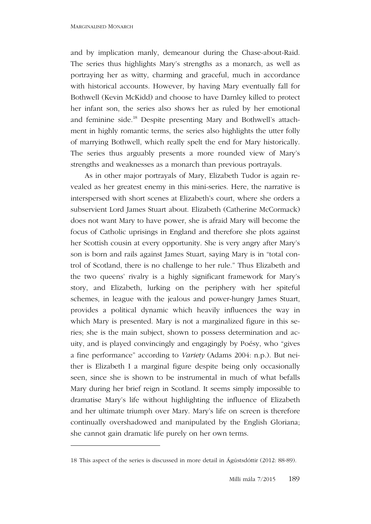1

and by implication manly, demeanour during the Chase-about-Raid. The series thus highlights Mary's strengths as a monarch, as well as portraying her as witty, charming and graceful, much in accordance with historical accounts. However, by having Mary eventually fall for Bothwell (Kevin McKidd) and choose to have Darnley killed to protect her infant son, the series also shows her as ruled by her emotional and feminine side. 18 Despite presenting Mary and Bothwell's attachment in highly romantic terms, the series also highlights the utter folly of marrying Bothwell, which really spelt the end for Mary historically. The series thus arguably presents a more rounded view of Mary's strengths and weaknesses as a monarch than previous portrayals.

As in other major portrayals of Mary, Elizabeth Tudor is again revealed as her greatest enemy in this mini-series. Here, the narrative is interspersed with short scenes at Elizabeth's court, where she orders a subservient Lord James Stuart about. Elizabeth (Catherine McCormack) does not want Mary to have power, she is afraid Mary will become the focus of Catholic uprisings in England and therefore she plots against her Scottish cousin at every opportunity. She is very angry after Mary's son is born and rails against James Stuart, saying Mary is in "total control of Scotland, there is no challenge to her rule." Thus Elizabeth and the two queens' rivalry is a highly significant framework for Mary's story, and Elizabeth, lurking on the periphery with her spiteful schemes, in league with the jealous and power-hungry James Stuart, provides a political dynamic which heavily influences the way in which Mary is presented. Mary is not a marginalized figure in this series; she is the main subject, shown to possess determination and acuity, and is played convincingly and engagingly by Poésy, who "gives a fine performance" according to *Variety* (Adams 2004: n.p.). But neither is Elizabeth I a marginal figure despite being only occasionally seen, since she is shown to be instrumental in much of what befalls Mary during her brief reign in Scotland. It seems simply impossible to dramatise Mary's life without highlighting the influence of Elizabeth and her ultimate triumph over Mary. Mary's life on screen is therefore continually overshadowed and manipulated by the English Gloriana; she cannot gain dramatic life purely on her own terms.

<sup>18</sup> This aspect of the series is discussed in more detail in Ágústsdóttir (2012: 88-89).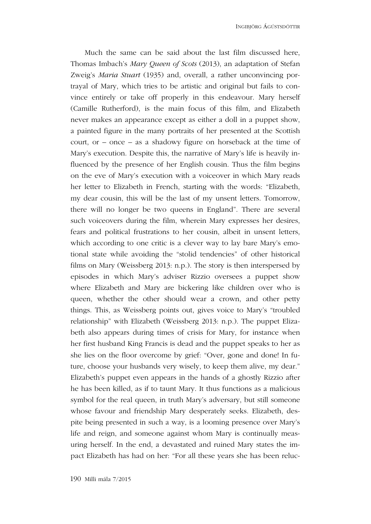Much the same can be said about the last film discussed here, Thomas Imbach's *Mary Queen of Scots* (2013), an adaptation of Stefan Zweig's *Maria Stuart* (1935) and, overall, a rather unconvincing portrayal of Mary, which tries to be artistic and original but fails to convince entirely or take off properly in this endeavour. Mary herself (Camille Rutherford), is the main focus of this film, and Elizabeth never makes an appearance except as either a doll in a puppet show, a painted figure in the many portraits of her presented at the Scottish court, or – once – as a shadowy figure on horseback at the time of Mary's execution. Despite this, the narrative of Mary's life is heavily influenced by the presence of her English cousin. Thus the film begins on the eve of Mary's execution with a voiceover in which Mary reads her letter to Elizabeth in French, starting with the words: "Elizabeth, my dear cousin, this will be the last of my unsent letters. Tomorrow, there will no longer be two queens in England". There are several such voiceovers during the film, wherein Mary expresses her desires, fears and political frustrations to her cousin, albeit in unsent letters, which according to one critic is a clever way to lay bare Mary's emotional state while avoiding the "stolid tendencies" of other historical films on Mary (Weissberg 2013: n.p.). The story is then interspersed by episodes in which Mary's adviser Rizzio oversees a puppet show where Elizabeth and Mary are bickering like children over who is queen, whether the other should wear a crown, and other petty things. This, as Weissberg points out, gives voice to Mary's "troubled relationship" with Elizabeth (Weissberg 2013: n.p.). The puppet Elizabeth also appears during times of crisis for Mary, for instance when her first husband King Francis is dead and the puppet speaks to her as she lies on the floor overcome by grief: "Over, gone and done! In future, choose your husbands very wisely, to keep them alive, my dear." Elizabeth's puppet even appears in the hands of a ghostly Rizzio after he has been killed, as if to taunt Mary. It thus functions as a malicious symbol for the real queen, in truth Mary's adversary, but still someone whose favour and friendship Mary desperately seeks. Elizabeth, despite being presented in such a way, is a looming presence over Mary's life and reign, and someone against whom Mary is continually measuring herself. In the end, a devastated and ruined Mary states the impact Elizabeth has had on her: "For all these years she has been reluc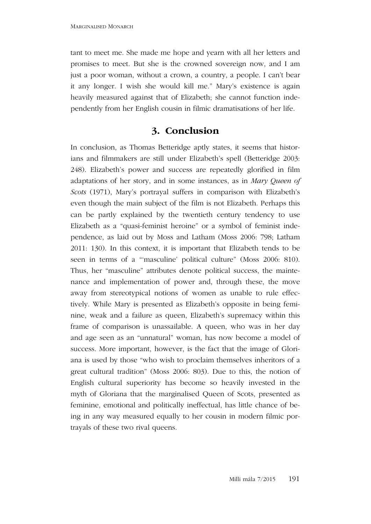tant to meet me. She made me hope and yearn with all her letters and promises to meet. But she is the crowned sovereign now, and I am just a poor woman, without a crown, a country, a people. I can't bear it any longer. I wish she would kill me." Mary's existence is again heavily measured against that of Elizabeth; she cannot function independently from her English cousin in filmic dramatisations of her life.

#### **3. Conclusion**

In conclusion, as Thomas Betteridge aptly states, it seems that historians and filmmakers are still under Elizabeth's spell (Betteridge 2003: 248). Elizabeth's power and success are repeatedly glorified in film adaptations of her story, and in some instances, as in *Mary Queen of Scots* (1971), Mary's portrayal suffers in comparison with Elizabeth's even though the main subject of the film is not Elizabeth. Perhaps this can be partly explained by the twentieth century tendency to use Elizabeth as a "quasi-feminist heroine" or a symbol of feminist independence, as laid out by Moss and Latham (Moss 2006: 798; Latham 2011: 130). In this context, it is important that Elizabeth tends to be seen in terms of a "'masculine' political culture" (Moss 2006: 810). Thus, her "masculine" attributes denote political success, the maintenance and implementation of power and, through these, the move away from stereotypical notions of women as unable to rule effectively. While Mary is presented as Elizabeth's opposite in being feminine, weak and a failure as queen, Elizabeth's supremacy within this frame of comparison is unassailable. A queen, who was in her day and age seen as an "unnatural" woman, has now become a model of success. More important, however, is the fact that the image of Gloriana is used by those "who wish to proclaim themselves inheritors of a great cultural tradition" (Moss 2006: 803). Due to this, the notion of English cultural superiority has become so heavily invested in the myth of Gloriana that the marginalised Queen of Scots, presented as feminine, emotional and politically ineffectual, has little chance of being in any way measured equally to her cousin in modern filmic portrayals of these two rival queens.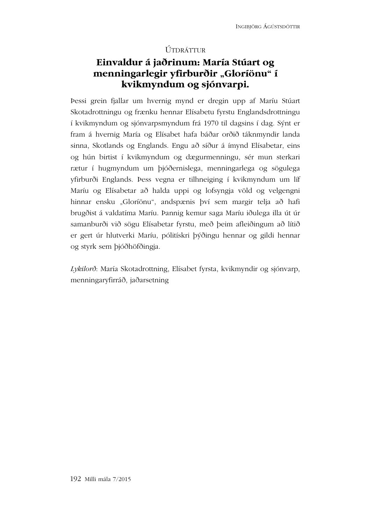#### ÚTDRÁTTUR

## Einvaldur á jaðrinum: María Stúart og menningarlegir yfirburðir "Gloríönu" í **kvikmyndum og sjónvarpi.**

Þessi grein fjallar um hvernig mynd er dregin upp af Maríu Stúart Skotadrottningu og frænku hennar Elísabetu fyrstu Englandsdrottningu í kvikmyndum og sjónvarpsmyndum frá 1970 til dagsins í dag. Sýnt er fram á hvernig María og Elísabet hafa báðar orðið táknmyndir landa sinna, Skotlands og Englands. Engu að síður á ímynd Elísabetar, eins og hún birtist í kvikmyndum og dægurmenningu, sér mun sterkari rætur í hugmyndum um þjóðernislega, menningarlega og sögulega yfirburði Englands. Þess vegna er tilhneiging í kvikmyndum um líf Maríu og Elísabetar að halda uppi og lofsyngja völd og velgengni hinnar ensku "Gloríönu", andspænis því sem margir telja að hafi brugðist á valdatíma Maríu. Þannig kemur saga Maríu iðulega illa út úr samanburði við sögu Elísabetar fyrstu, með þeim afleiðingum að lítið er gert úr hlutverki Maríu, pólitískri þýðingu hennar og gildi hennar og styrk sem þjóðhöfðingja.

*Lykilorð*: María Skotadrottning, Elísabet fyrsta, kvikmyndir og sjónvarp, menningaryfirráð, jaðarsetning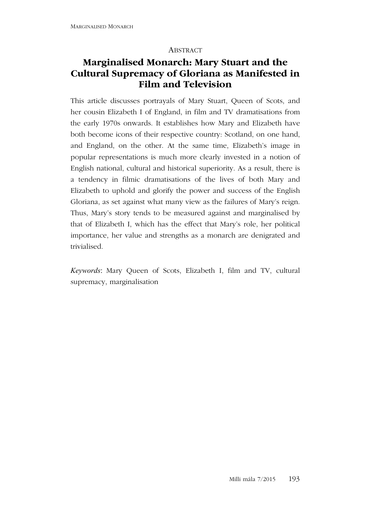#### **ABSTRACT**

## **Marginalised Monarch: Mary Stuart and the Cultural Supremacy of Gloriana as Manifested in Film and Television**

This article discusses portrayals of Mary Stuart, Queen of Scots, and her cousin Elizabeth I of England, in film and TV dramatisations from the early 1970s onwards. It establishes how Mary and Elizabeth have both become icons of their respective country: Scotland, on one hand, and England, on the other. At the same time, Elizabeth's image in popular representations is much more clearly invested in a notion of English national, cultural and historical superiority. As a result, there is a tendency in filmic dramatisations of the lives of both Mary and Elizabeth to uphold and glorify the power and success of the English Gloriana, as set against what many view as the failures of Mary's reign. Thus, Mary's story tends to be measured against and marginalised by that of Elizabeth I, which has the effect that Mary's role, her political importance, her value and strengths as a monarch are denigrated and trivialised.

*Keywords*: Mary Queen of Scots, Elizabeth I, film and TV, cultural supremacy, marginalisation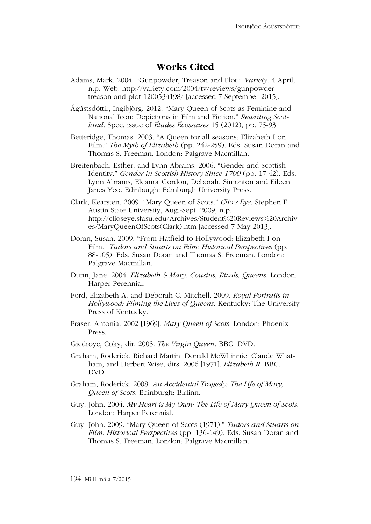#### **Works Cited**

Adams, Mark. 2004. "Gunpowder, Treason and Plot." *Variety*. 4 April, n.p. Web. http://variety.com/2004/tv/reviews/gunpowdertreason-and-plot-1200534198/ [accessed 7 September 2015].

Ágústsdóttir, Ingibjörg. 2012. "Mary Queen of Scots as Feminine and National Icon: Depictions in Film and Fiction." *Rewriting Scotland*. Spec. issue of *Études Écossaises* 15 (2012), pp. 75-93.

Betteridge, Thomas. 2003. "A Queen for all seasons: Elizabeth I on Film." *The Myth of Elizabeth* (pp. 242-259). Eds. Susan Doran and Thomas S. Freeman. London: Palgrave Macmillan.

Breitenbach, Esther, and Lynn Abrams. 2006. "Gender and Scottish Identity." *Gender in Scottish History Since 1700* (pp. 17-42). Eds. Lynn Abrams, Eleanor Gordon, Deborah, Simonton and Eileen Janes Yeo. Edinburgh: Edinburgh University Press.

- Clark, Kearsten. 2009. "Mary Queen of Scots." *Clio's Eye*. Stephen F. Austin State University, Aug.-Sept. 2009, n.p. http://clioseye.sfasu.edu/Archives/Student%20Reviews%20Archiv es/MaryQueenOfScots(Clark).htm [accessed 7 May 2013].
- Doran, Susan. 2009. "From Hatfield to Hollywood: Elizabeth I on Film." *Tudors and Stuarts on Film: Historical Perspectives* (pp. 88-105). Eds. Susan Doran and Thomas S. Freeman. London: Palgrave Macmillan.
- Dunn, Jane. 2004. *Elizabeth & Mary: Cousins, Rivals, Queens.* London: Harper Perennial.
- Ford, Elizabeth A. and Deborah C. Mitchell. 2009. *Royal Portraits in Hollywood: Filming the Lives of Queens*. Kentucky: The University Press of Kentucky.
- Fraser, Antonia. 2002 [1969]. *Mary Queen of Scots*. London: Phoenix Press.
- Giedroyc, Coky, dir. 2005. *The Virgin Queen*. BBC. DVD.
- Graham, Roderick, Richard Martin, Donald McWhinnie, Claude Whatham, and Herbert Wise, dirs. 2006 [1971]. *Elizabeth R*. BBC. DVD.
- Graham, Roderick. 2008. *An Accidental Tragedy: The Life of Mary, Queen of Scots*. Edinburgh: Birlinn.
- Guy, John. 2004. *My Heart is My Own: The Life of Mary Queen of Scots*. London: Harper Perennial.
- Guy, John. 2009. "Mary Queen of Scots (1971)." *Tudors and Stuarts on Film: Historical Perspectives* (pp. 136-149). Eds. Susan Doran and Thomas S. Freeman. London: Palgrave Macmillan.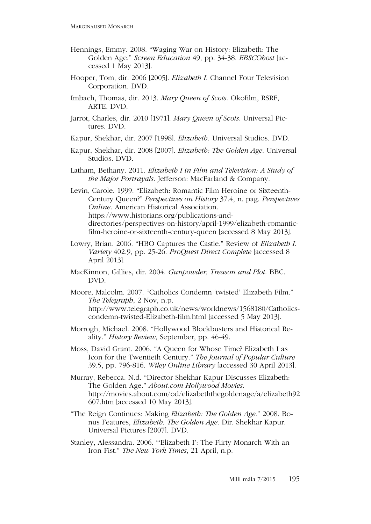- Hennings, Emmy. 2008. "Waging War on History: Elizabeth: The Golden Age." *Screen Education* 49, pp. 34-38. *EBSCOhost* [accessed 1 May 2013].
- Hooper, Tom, dir. 2006 [2005]. *Elizabeth I*. Channel Four Television Corporation. DVD.
- Imbach, Thomas, dir. 2013. *Mary Queen of Scots*. Okofilm, RSRF, ARTE. DVD.
- Jarrot, Charles, dir. 2010 [1971]. *Mary Queen of Scots*. Universal Pictures. DVD.
- Kapur, Shekhar, dir. 2007 [1998]. *Elizabeth.* Universal Studios. DVD.
- Kapur, Shekhar, dir. 2008 [2007]. *Elizabeth: The Golden Age*. Universal Studios. DVD.
- Latham, Bethany. 2011. *Elizabeth I in Film and Television: A Study of the Major Portrayals*. Jefferson: MacFarland & Company.

Levin, Carole. 1999. "Elizabeth: Romantic Film Heroine or Sixteenth-Century Queen?" *Perspectives on History* 37.4, n. pag. *Perspectives Online.* American Historical Association. https://www.historians.org/publications-anddirectories/perspectives-on-history/april-1999/elizabeth-romanticfilm-heroine-or-sixteenth-century-queen [accessed 8 May 2013].

- Lowry, Brian. 2006. "HBO Captures the Castle." Review of *Elizabeth I*. *Variety* 402.9, pp. 25-26. *ProQuest Direct Complete* [accessed 8 April 2013].
- MacKinnon, Gillies, dir. 2004. *Gunpowder, Treason and Plot*. BBC. DVD.
- Moore, Malcolm. 2007. "Catholics Condemn 'twisted' Elizabeth Film." *The Telegraph*, 2 Nov, n.p. http://www.telegraph.co.uk/news/worldnews/1568180/Catholicscondemn-twisted-Elizabeth-film.html [accessed 5 May 2013].
- Morrogh, Michael. 2008. "Hollywood Blockbusters and Historical Reality." *History Review*, September, pp. 46-49.
- Moss, David Grant. 2006. "A Queen for Whose Time? Elizabeth I as Icon for the Twentieth Century." *The Journal of Popular Culture* 39.5, pp. 796-816. *Wiley Online Library* [accessed 30 April 2013].
- Murray, Rebecca. N.d. "Director Shekhar Kapur Discusses Elizabeth: The Golden Age." *About.com Hollywood Movies*. http://movies.about.com/od/elizabeththegoldenage/a/elizabeth92 607.htm [accessed 10 May 2013].
- "The Reign Continues: Making *Elizabeth: The Golden Age*." 2008. Bonus Features, *Elizabeth: The Golden Age*. Dir. Shekhar Kapur. Universal Pictures [2007]. DVD.
- Stanley, Alessandra. 2006. "'Elizabeth I': The Flirty Monarch With an Iron Fist." *The New York Times*, 21 April, n.p.